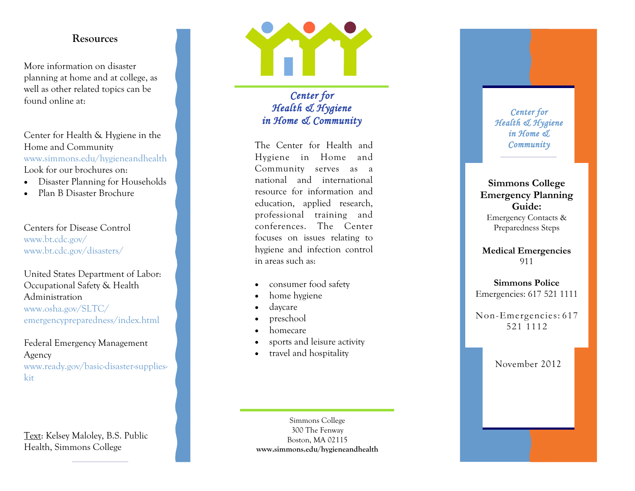# **Resources**

More information on disaster planning at home and at college, as well as other related topics can be found online at:

Center for Health & Hygiene in the Home and Community www.simmons.edu/hygieneandhealth Look for our brochures on:

- Disaster Planning for Households
- Plan B Disaster Brochure

Centers for Disease Control www.bt.cdc.gov/ www.bt.cdc.gov/disasters/

United States Department of Labor: Occupational Safety & Health Administration www.osha.gov/SLTC/ emergencypreparedness/index.html

Federal Emergency Management Agency www.ready.gov/basic-disaster-supplieskit

Text: Kelsey Maloley, B.S. Public Health, Simmons College

*Center for Health & Hygiene in Home & Community* 

The Center for Health and Hygiene in Home and Community serves as a national and international resource for information and education, applied research, professional training and conferences. The Center focuses on issues relating to hygiene and infection control in areas such as:

- consumer food safety
- home hygiene
- daycare
- preschool
- homecare
- sports and leisure activity
- travel and hospitality

Simmons College 300 The Fenway Boston, MA 02115 www.simmons.edu/hygieneandhealth

#### *Center for Health & Hygiene in Home & Community*

#### **Simmons College Emergency Planning Guide:**  Emergency Contacts & Preparedness Steps

**Medical Emergencies**  911

# **Simmons Police**

Emergencies: 617 521 1111 Non-Emergencies: 617 521 1112

November 2012